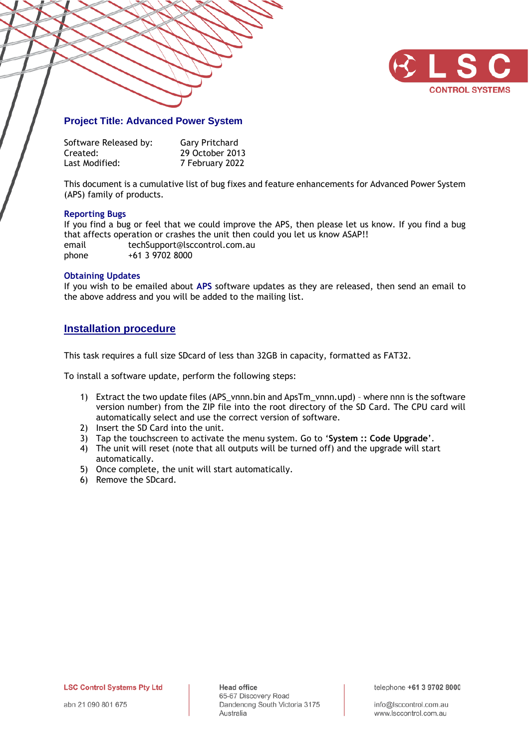

### **Project Title: Advanced Power System**

| Software Released by: | <b>Gary Pritchard</b> |
|-----------------------|-----------------------|
| Created:              | 29 October 2013       |
| Last Modified:        | 7 February 2022       |

This document is a cumulative list of bug fixes and feature enhancements for Advanced Power System (APS) family of products.

### **Reporting Bugs**

If you find a bug or feel that we could improve the APS, then please let us know. If you find a bug that affects operation or crashes the unit then could you let us know ASAP!! email techSupport@lsccontrol.com.au phone +61 3 9702 8000

### **Obtaining Updates**

If you wish to be emailed about **APS** software updates as they are released, then send an email to the above address and you will be added to the mailing list.

### **Installation procedure**

This task requires a full size SDcard of less than 32GB in capacity, formatted as FAT32.

To install a software update, perform the following steps:

- 1) Extract the two update files (APS\_vnnn.bin and ApsTm\_vnnn.upd) where nnn is the software version number) from the ZIP file into the root directory of the SD Card. The CPU card will automatically select and use the correct version of software.
- 2) Insert the SD Card into the unit.
- 3) Tap the touchscreen to activate the menu system. Go to '**System :: Code Upgrade**'.
- 4) The unit will reset (note that all outputs will be turned off) and the upgrade will start automatically.
- 5) Once complete, the unit will start automatically.
- 6) Remove the SDcard.

**LSC Control Systems Pty Ltd** 

**Head office** 65-67 Discovery Road Dandenong South Victoria 3175 Australia

telephone +61 3 9702 8000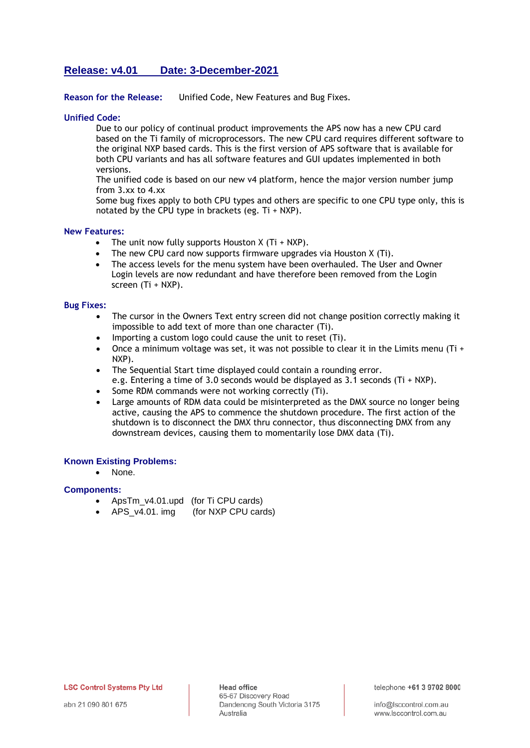# **Release: v4.01 Date: 3-December-2021**

### **Reason for the Release:** Unified Code, New Features and Bug Fixes.

### **Unified Code:**

Due to our policy of continual product improvements the APS now has a new CPU card based on the Ti family of microprocessors. The new CPU card requires different software to the original NXP based cards. This is the first version of APS software that is available for both CPU variants and has all software features and GUI updates implemented in both versions.

The unified code is based on our new v4 platform, hence the major version number jump from 3.xx to 4.xx

Some bug fixes apply to both CPU types and others are specific to one CPU type only, this is notated by the CPU type in brackets (eg. Ti + NXP).

### **New Features:**

- The unit now fully supports Houston  $X(Ti + NXP)$ .
- The new CPU card now supports firmware upgrades via Houston X (Ti).
- The access levels for the menu system have been overhauled. The User and Owner Login levels are now redundant and have therefore been removed from the Login screen (Ti + NXP).

### **Bug Fixes:**

- The cursor in the Owners Text entry screen did not change position correctly making it impossible to add text of more than one character (Ti).
- Importing a custom logo could cause the unit to reset (Ti).
- Once a minimum voltage was set, it was not possible to clear it in the Limits menu (Ti + NXP).
- The Sequential Start time displayed could contain a rounding error.
- e.g. Entering a time of 3.0 seconds would be displayed as 3.1 seconds (Ti + NXP).
- Some RDM commands were not working correctly (Ti).
- Large amounts of RDM data could be misinterpreted as the DMX source no longer being active, causing the APS to commence the shutdown procedure. The first action of the shutdown is to disconnect the DMX thru connector, thus disconnecting DMX from any downstream devices, causing them to momentarily lose DMX data (Ti).

### **Known Existing Problems:**

None.

### **Components:**

- ApsTm\_v4.01.upd (for Ti CPU cards)
- APS v4.01. img (for NXP CPU cards)

**LSC Control Systems Pty Ltd**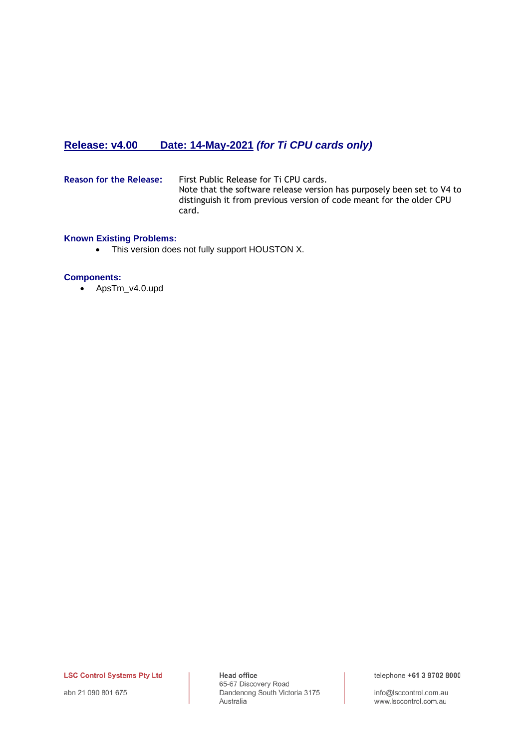# **Release: v4.00 Date: 14-May-2021** *(for Ti CPU cards only)*

**Reason for the Release:** First Public Release for Ti CPU cards. Note that the software release version has purposely been set to V4 to distinguish it from previous version of code meant for the older CPU card.

### **Known Existing Problems:**

• This version does not fully support HOUSTON X.

### **Components:**

• ApsTm\_v4.0.upd

**LSC Control Systems Pty Ltd** 

abn 21 090 801 675

**Head office** 65-67 Discovery Road Dandenong South Victoria 3175 Australia

telephone +61 3 9702 8000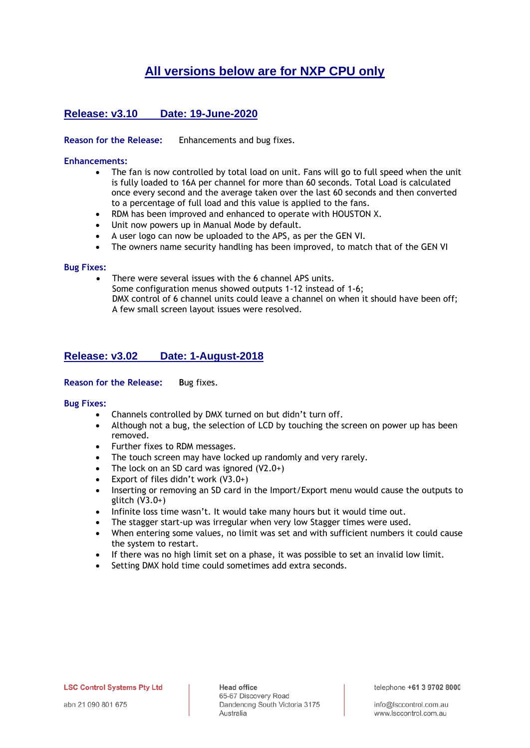# **All versions below are for NXP CPU only**

# **Release: v3.10 Date: 19-June-2020**

**Reason for the Release:** Enhancements and bug fixes.

### **Enhancements:**

- The fan is now controlled by total load on unit. Fans will go to full speed when the unit is fully loaded to 16A per channel for more than 60 seconds. Total Load is calculated once every second and the average taken over the last 60 seconds and then converted to a percentage of full load and this value is applied to the fans.
- RDM has been improved and enhanced to operate with HOUSTON X.
- Unit now powers up in Manual Mode by default.
- A user logo can now be uploaded to the APS, as per the GEN VI.
- The owners name security handling has been improved, to match that of the GEN VI

### **Bug Fixes:**

There were several issues with the 6 channel APS units. Some configuration menus showed outputs 1-12 instead of 1-6; DMX control of 6 channel units could leave a channel on when it should have been off; A few small screen layout issues were resolved.

# **Release: v3.02 Date: 1-August-2018**

### **Reason for the Release: B**ug fixes.

### **Bug Fixes:**

- Channels controlled by DMX turned on but didn't turn off.
- Although not a bug, the selection of LCD by touching the screen on power up has been removed.
- Further fixes to RDM messages.
- The touch screen may have locked up randomly and very rarely.
- The lock on an SD card was ignored  $(V2.0+)$
- Export of files didn't work  $(V3.0+)$
- Inserting or removing an SD card in the Import/Export menu would cause the outputs to glitch (V3.0+)
- Infinite loss time wasn't. It would take many hours but it would time out.
- The stagger start-up was irregular when very low Stagger times were used.
- When entering some values, no limit was set and with sufficient numbers it could cause the system to restart.
- If there was no high limit set on a phase, it was possible to set an invalid low limit.
- Setting DMX hold time could sometimes add extra seconds.

telephone +61 3 9702 8000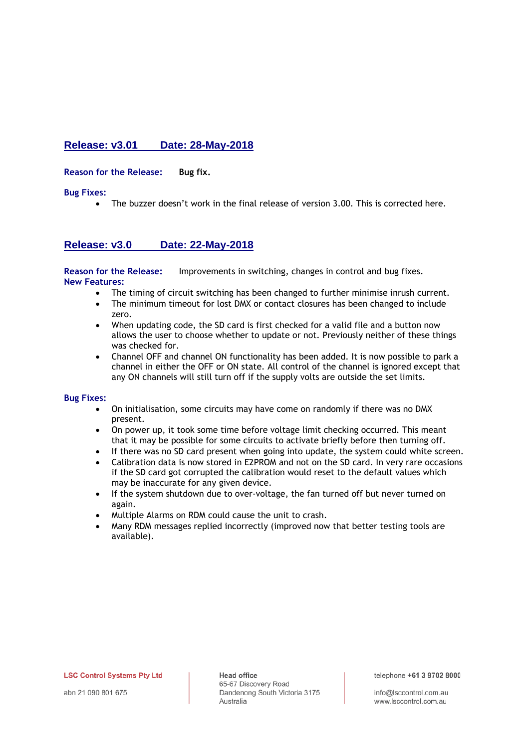# **Release: v3.01 Date: 28-May-2018**

**Reason for the Release: Bug fix.**

**Bug Fixes:**

The buzzer doesn't work in the final release of version 3.00. This is corrected here.

### **Release: v3.0 Date: 22-May-2018**

**Reason for the Release:** Improvements in switching, changes in control and bug fixes. **New Features:**

- The timing of circuit switching has been changed to further minimise inrush current.
- The minimum timeout for lost DMX or contact closures has been changed to include zero.
- When updating code, the SD card is first checked for a valid file and a button now allows the user to choose whether to update or not. Previously neither of these things was checked for.
- Channel OFF and channel ON functionality has been added. It is now possible to park a channel in either the OFF or ON state. All control of the channel is ignored except that any ON channels will still turn off if the supply volts are outside the set limits.

### **Bug Fixes:**

- On initialisation, some circuits may have come on randomly if there was no DMX present.
- On power up, it took some time before voltage limit checking occurred. This meant that it may be possible for some circuits to activate briefly before then turning off.
- If there was no SD card present when going into update, the system could white screen.
- Calibration data is now stored in E2PROM and not on the SD card. In very rare occasions if the SD card got corrupted the calibration would reset to the default values which may be inaccurate for any given device.
- If the system shutdown due to over-voltage, the fan turned off but never turned on again.
- Multiple Alarms on RDM could cause the unit to crash.
- Many RDM messages replied incorrectly (improved now that better testing tools are available).

**LSC Control Systems Pty Ltd** 

**Head office** 65-67 Discovery Road Dandenong South Victoria 3175 Australia

telephone +61 3 9702 8000